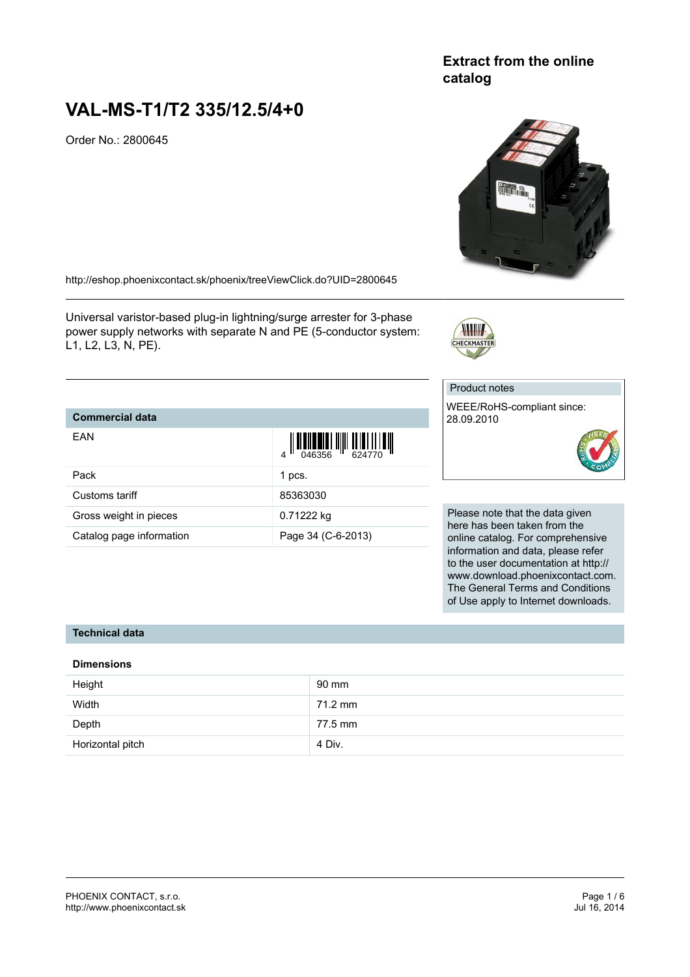## **Extract from the online catalog**

# **VAL-MS-T1/T2 335/12.5/4+0**

Order No.: 2800645

<http://eshop.phoenixcontact.sk/phoenix/treeViewClick.do?UID=2800645>

Universal varistor-based plug-in lightning/surge arrester for 3-phase power supply networks with separate N and PE (5-conductor system: L1, L2, L3, N, PE).

### **Commercial data**

| EAN                      | $\frac{1}{2}$ $\frac{1}{2}$ $\frac{1}{2}$ $\frac{1}{2}$ $\frac{1}{2}$ $\frac{1}{2}$ $\frac{1}{2}$ $\frac{1}{2}$ $\frac{1}{2}$ $\frac{1}{2}$ $\frac{1}{2}$ $\frac{1}{2}$ $\frac{1}{2}$ $\frac{1}{2}$ $\frac{1}{2}$ $\frac{1}{2}$ $\frac{1}{2}$ $\frac{1}{2}$ $\frac{1}{2}$ $\frac{1}{2}$ $\frac{1}{2}$ $\frac{1}{2}$ |
|--------------------------|---------------------------------------------------------------------------------------------------------------------------------------------------------------------------------------------------------------------------------------------------------------------------------------------------------------------|
| Pack                     | 1 pcs.                                                                                                                                                                                                                                                                                                              |
| Customs tariff           | 85363030                                                                                                                                                                                                                                                                                                            |
| Gross weight in pieces   | 0.71222 kg                                                                                                                                                                                                                                                                                                          |
| Catalog page information | Page 34 (C-6-2013)                                                                                                                                                                                                                                                                                                  |

Product notes WEEE/RoHS-compliant since: 28.09.2010

CHECKMASTER

Please note that the data given here has been taken from the online catalog. For comprehensive information and data, please refer to the user documentation at http:// www.download.phoenixcontact.com. The General Terms and Conditions of Use apply to Internet downloads.

#### **Technical data**

#### **Dimensions**

| Height           | 90 mm   |
|------------------|---------|
| Width            | 71.2 mm |
| Depth            | 77.5 mm |
| Horizontal pitch | 4 Div.  |





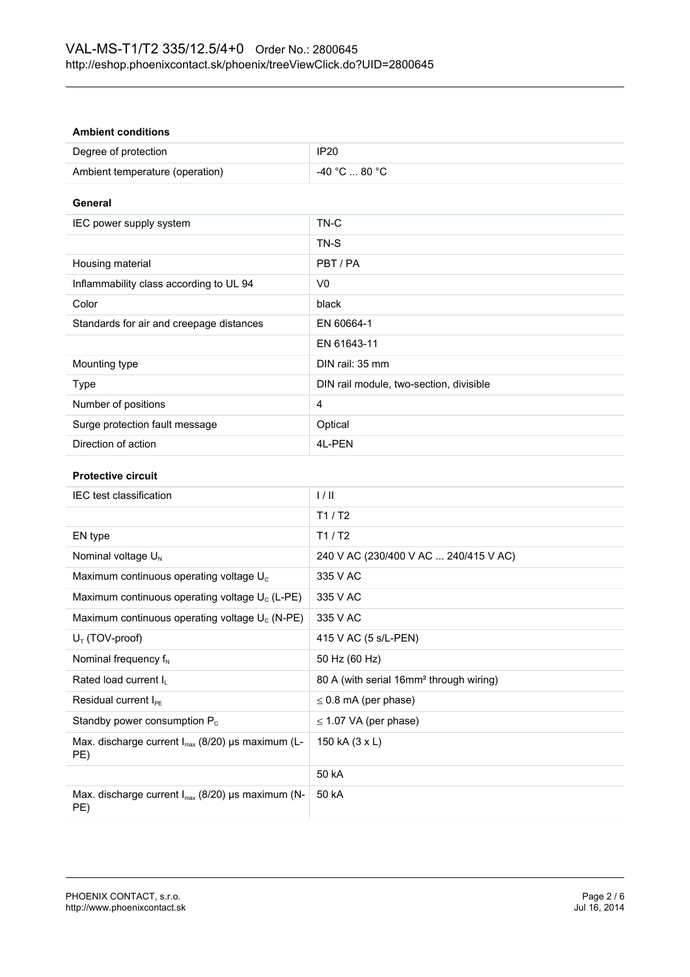#### **Ambient conditions**

| Degree of protection            | <b>IP20</b>   |
|---------------------------------|---------------|
| Ambient temperature (operation) | -40 °C  80 °C |

#### **General**

| IEC power supply system                  | TN-C                                    |
|------------------------------------------|-----------------------------------------|
|                                          | TN-S                                    |
| Housing material                         | PBT/PA                                  |
| Inflammability class according to UL 94  | V0                                      |
| Color                                    | black                                   |
| Standards for air and creepage distances | EN 60664-1                              |
|                                          | EN 61643-11                             |
| Mounting type                            | DIN rail: 35 mm                         |
| Type                                     | DIN rail module, two-section, divisible |
| Number of positions                      | 4                                       |
| Surge protection fault message           | Optical                                 |
| Direction of action                      | 4L-PEN                                  |

#### **Protective circuit**

| <b>IEC</b> test classification                                | 1/11                                                |
|---------------------------------------------------------------|-----------------------------------------------------|
|                                                               | T1/ T2                                              |
| EN type                                                       | T1/ T2                                              |
| Nominal voltage $U_N$                                         | 240 V AC (230/400 V AC  240/415 V AC)               |
| Maximum continuous operating voltage $U_c$                    | 335 V AC                                            |
| Maximum continuous operating voltage $U_c$ (L-PE)             | 335 V AC                                            |
| Maximum continuous operating voltage $U_c$ (N-PE)             | 335 V AC                                            |
| $U_T$ (TOV-proof)                                             | 415 V AC (5 s/L-PEN)                                |
| Nominal frequency $f_N$                                       | 50 Hz (60 Hz)                                       |
| Rated load current I <sub>1</sub>                             | 80 A (with serial 16mm <sup>2</sup> through wiring) |
| Residual current $I_{PE}$                                     | $\leq$ 0.8 mA (per phase)                           |
| Standby power consumption $P_c$                               | $\leq$ 1.07 VA (per phase)                          |
| Max. discharge current $I_{max}$ (8/20) µs maximum (L-<br>PE) | 150 kA (3 x L)                                      |
|                                                               | 50 kA                                               |
| Max. discharge current $I_{max}$ (8/20) µs maximum (N-<br>PE) | 50 kA                                               |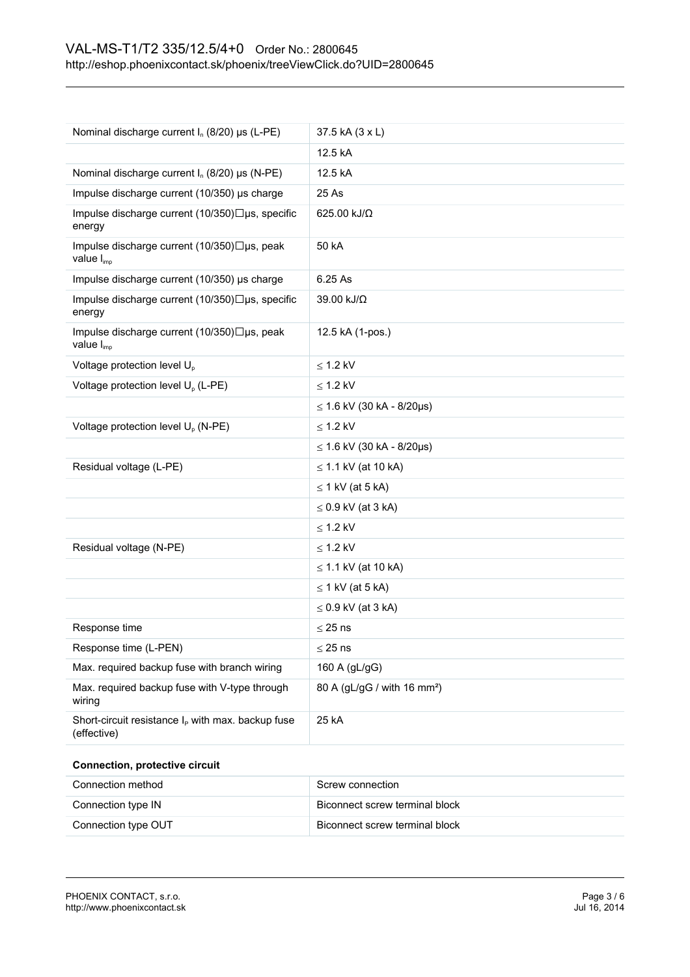| Nominal discharge current $I_n$ (8/20) µs (L-PE)                      | 37.5 kA (3 x L)                         |
|-----------------------------------------------------------------------|-----------------------------------------|
|                                                                       | 12.5 kA                                 |
| Nominal discharge current $I_n$ (8/20) $\mu s$ (N-PE)                 | 12.5 kA                                 |
| Impulse discharge current (10/350) µs charge                          | 25 As                                   |
| Impulse discharge current (10/350)□µs, specific<br>energy             | 625.00 kJ/Ω                             |
| Impulse discharge current (10/350)□µs, peak<br>value I <sub>imp</sub> | 50 kA                                   |
| Impulse discharge current (10/350) µs charge                          | 6.25 As                                 |
| Impulse discharge current (10/350)□µs, specific<br>energy             | 39.00 kJ/Ω                              |
| Impulse discharge current (10/350)□µs, peak<br>value I <sub>imp</sub> | 12.5 kA (1-pos.)                        |
| Voltage protection level U <sub>p</sub>                               | $\leq$ 1.2 kV                           |
| Voltage protection level U <sub>p</sub> (L-PE)                        | $\leq$ 1.2 kV                           |
|                                                                       | $≤ 1.6$ kV (30 kA - 8/20µs)             |
| Voltage protection level U <sub>p</sub> (N-PE)                        | $\leq$ 1.2 kV                           |
|                                                                       | $\leq$ 1.6 kV (30 kA - 8/20µs)          |
| Residual voltage (L-PE)                                               | $\leq$ 1.1 kV (at 10 kA)                |
|                                                                       | $\leq$ 1 kV (at 5 kA)                   |
|                                                                       | $\leq$ 0.9 kV (at 3 kA)                 |
|                                                                       | $\leq$ 1.2 kV                           |
| Residual voltage (N-PE)                                               | $\leq$ 1.2 kV                           |
|                                                                       | $\leq$ 1.1 kV (at 10 kA)                |
|                                                                       | $\leq$ 1 kV (at 5 kA)                   |
|                                                                       | $\leq$ 0.9 kV (at 3 kA)                 |
| Response time                                                         | $\leq$ 25 ns                            |
| Response time (L-PEN)                                                 | $\leq$ 25 ns                            |
| Max. required backup fuse with branch wiring                          | 160 A (gL/gG)                           |
| Max. required backup fuse with V-type through<br>wiring               | 80 A (gL/gG / with 16 mm <sup>2</sup> ) |
| Short-circuit resistance $I_P$ with max. backup fuse<br>(effective)   | 25 kA                                   |
| <b>Connection, protective circuit</b>                                 |                                         |
| Connection method                                                     | Screw connection                        |
| Connection type IN                                                    | Biconnect screw terminal block          |
| Connection type OUT                                                   | Biconnect screw terminal block          |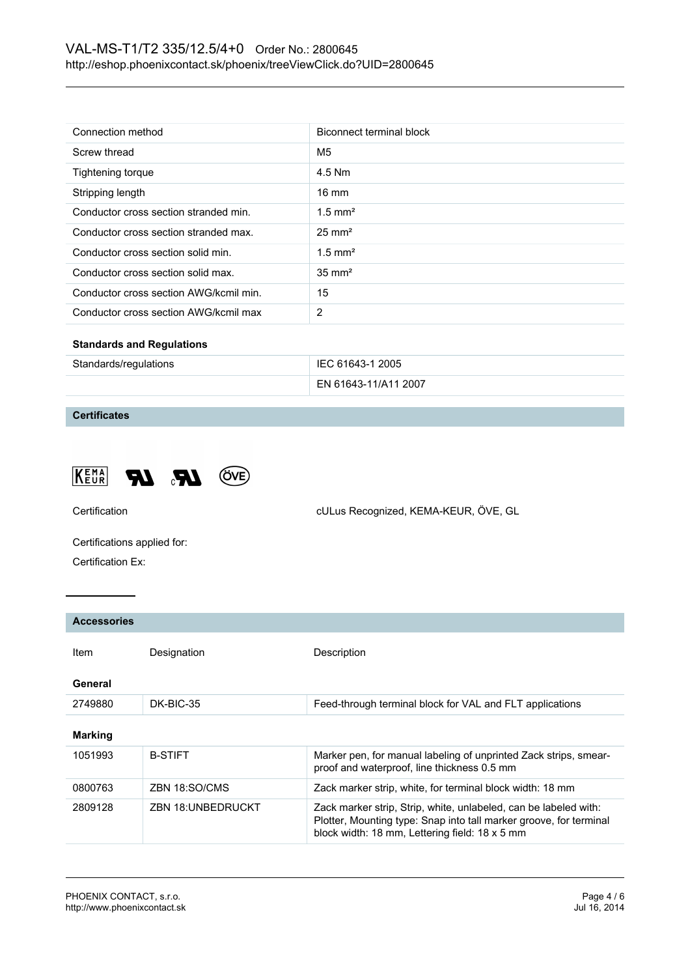| Connection method                      | Biconnect terminal block |
|----------------------------------------|--------------------------|
|                                        |                          |
| Screw thread                           | M5                       |
| Tightening torque                      | 4.5 Nm                   |
| Stripping length                       | $16 \text{ mm}$          |
| Conductor cross section stranded min.  | $1.5$ mm <sup>2</sup>    |
| Conductor cross section stranded max.  | $25 \text{ mm}^2$        |
| Conductor cross section solid min.     | $1.5$ mm <sup>2</sup>    |
| Conductor cross section solid max.     | $35 \text{ mm}^2$        |
| Conductor cross section AWG/kcmil min. | 15                       |
| Conductor cross section AWG/kcmil max  | 2                        |
| <b>Standards and Regulations</b>       |                          |

| Standards/regulations | IEC 61643-1 2005     |
|-----------------------|----------------------|
|                       | EN 61643-11/A11 2007 |

## **Certificates**





Certification cULus Recognized, KEMA-KEUR, ÖVE, GL

Certifications applied for: Certification Ex:

| <b>Accessories</b> |                          |                                                                                                                                                                                          |
|--------------------|--------------------------|------------------------------------------------------------------------------------------------------------------------------------------------------------------------------------------|
| ltem.              | Designation              | Description                                                                                                                                                                              |
| General            |                          |                                                                                                                                                                                          |
| 2749880            | DK-BIC-35                | Feed-through terminal block for VAL and FLT applications                                                                                                                                 |
| <b>Marking</b>     |                          |                                                                                                                                                                                          |
| 1051993            | <b>B-STIFT</b>           | Marker pen, for manual labeling of unprinted Zack strips, smear-<br>proof and waterproof, line thickness 0.5 mm                                                                          |
| 0800763            | ZBN 18:SO/CMS            | Zack marker strip, white, for terminal block width: 18 mm                                                                                                                                |
| 2809128            | <b>ZBN 18:UNBEDRUCKT</b> | Zack marker strip, Strip, white, unlabeled, can be labeled with:<br>Plotter, Mounting type: Snap into tall marker groove, for terminal<br>block width: 18 mm, Lettering field: 18 x 5 mm |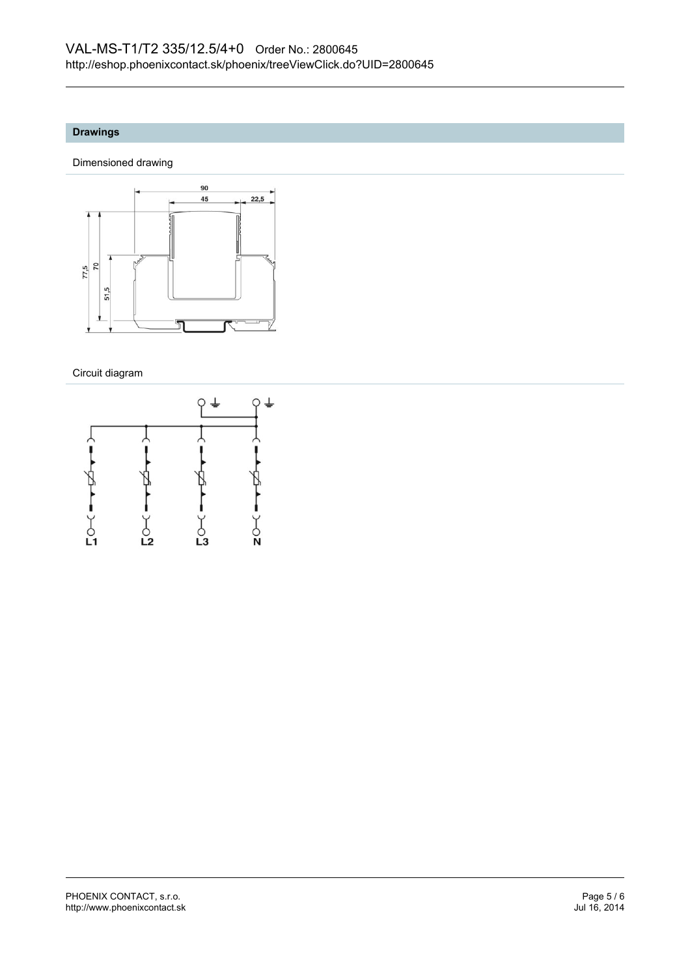#### **Drawings**

Dimensioned drawing



Circuit diagram